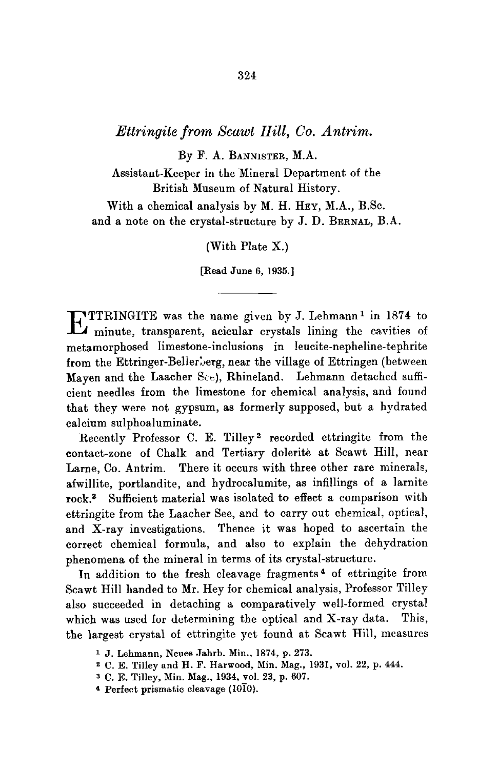## *Ettringite from Scawt Hill, Co. Antrim.*

By F. A. BANNISTER, M.A.

Assistant-Keeper in the Mineral Department of the British Museum of Natural History.

With a chemical analysis by M. H. HEY, M.A., B.Sc. and a note on the crystal-structure by J. D. BERNAL, B.A.

(With Plate X.)

[Read June 6, 1935.]

**EXTIRINGITE** was the name given by J. Lehmann<sup>1</sup> in 1874 to minute, transparent, acicular crystals lining the cavities of metamorphosed limestone-inclusions in leucite-nepheline-tephrite from the Ettringer-Bellerberg, near the village of Ettringen (between Mayen and the Laacher See), Rhineland. Lehmann detached sufficient needles from the limestone for chemical analysis, and found that they were not gypsum, as formerly supposed, but a hydrated calcium sulphoaluminate.

Recently Professor C. E. Tilley<sup>2</sup> recorded ettringite from the contact-zone of Chalk and Tertiary dolerite at Scawt Hill, near Larne, Co. Antrim. There it occurs with three other rare minerals, afwillite, portlandite, and hydroealumite, as infillings of a larnite rock.<sup>3</sup> Sufficient material was isolated to effect a comparison with ettringite from the Laaeher See, and to carry out chemical, optical, and X-ray investigations. Thence it was hoped to ascertain the correct chemical formula, and also to explain the dehydration phenomena of the mineral in terms of its crystal-structure.

In addition to the fresh cleavage fragments<sup>4</sup> of ettringite from Scawt Hill handed to Mr. Hey for chemical analysis, Professor Tilley also succeeded in detaching a comparatively well-formed crystal which was used for determining the optical and X-ray data. This, the largest crystal of ettringite yet found at Scawt Hill, measures

- z C. E. Tilley and H. F. Harwood, Min. Mag., 1931, vol. 22, p. 444.
- a C. E. Tilley, Min. Mag., 1934, vol. 23, p. 607.
- <sup>4</sup> Perfect prismatic cleavage  $(10\overline{1}0)$ .

<sup>1</sup> j. Lehmann, Neues Jahrb. Min., 1874, p. 273.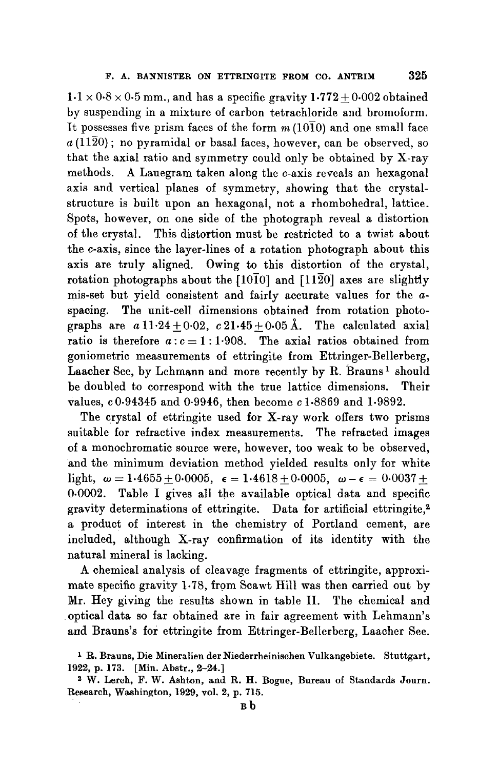$1.1 \times 0.8 \times 0.5$  mm., and has a specific gravity  $1.772+0.002$  obtained by suspending in a mixture of carbon tetrachloride and bromoform. It possesses five prism faces of the form  $m(10\overline{1}0)$  and one small face  $a(11\overline{2}0)$ ; no pyramidal or basal faces, however, can be observed, so that the axial ratio and symmetry could only be obtained by X-ray methods. A Lauegram taken along the c-axis reveals an hexagonal axis and vertical planes of symmetry, showing that the crystalstructure is built upon an hexagonal, not a rhombohedral, lattice. Spots, however, on one side of the photograph reveal a distortion of the crystal. This distortion must be restricted to a twist about the c-axis, since the layer-lines of a rotation photograph about this axis are truly aligned. Owing to this distortion of the crystal, rotation photographs about the  $[10\overline{1}0]$  and  $[11\overline{2}0]$  axes are slightly mis-set but yield consistent and fairly accurate values for the aspacing. The unit-cell dimensions obtained from rotation photographs are  $a11.24+0.02$ ,  $c21.45+0.05$  Å. The calculated axial ratio is therefore  $a: c = 1:1.908$ . The axial ratios obtained from goniometric measurements of ettringite from Ettringer-Bellerberg, Laacher See, by Lehmann and more recently by R. Brauns<sup>1</sup> should be doubled to correspond with the true lattice dimensions. Their values, c 0.94345 and 0.9946, then become c 1.8869 and 1.9892.

The crystal of ettringite used for X-ray work offers two prisms suitable for refractive index measurements. The refracted images of a monochromatic source were, however, too weak to be observed, and the minimum deviation method yielded results only for white light,  $\omega=1.4655+0.0005$ ,  $\epsilon=1.4618+0.0005$ ,  $\omega-\epsilon=0.0037+$ 0.0002. Table I gives all the available optical data and specific gravity determinations of ettringite. Data for artificial ettringite,<sup>2</sup> a product of interest in the chemistry of Portland cement, are included, although X-ray confirmation of its identity with the natural mineral is lacking.

A chemical analysis of cleavage fragments of ettringite, approximate specific gravity  $1.78$ , from Scawt Hill was then carried out by Mr. Hey giving the results shown in table II. The chemical and optical data so far obtained are in fair agreement with Lehmann's and Brauns's for ettringite from Ettringer-Bellerberg, Laacher See.

I R. Brauns, Die Mineralien der Niederrheinischen Vulkangebiete. Stuttgart, 1922, p. 173. [Min. Abstr., 2-24.]

<sup>2</sup> W. Lerch, F. W. Ashton, and R. H. Bogue, Bureau of Standards Journ. Research, Washington, 1929, vol. 2, p. 715.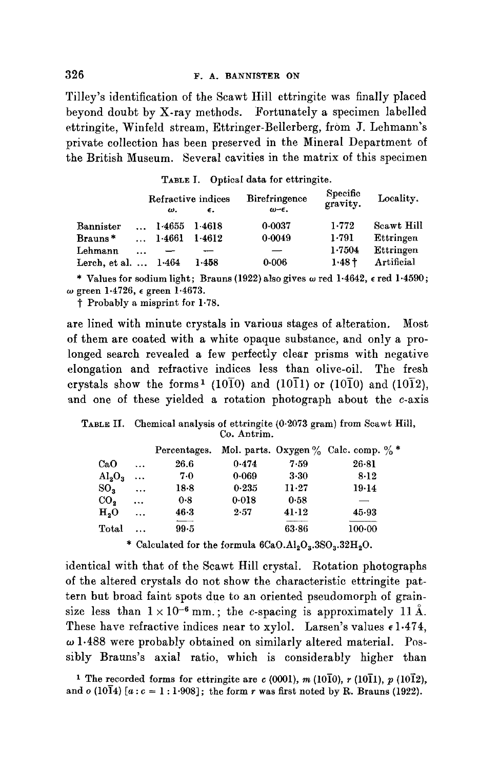Tilley's identification of the Seawt Hill ettringite was finally placed beyond doubt by X-ray methods. Fortunately a specimen labelled ettringite, Winfeld stream, Ettringer-Bellerberg, from J. Lehmann's private collection has been preserved in the Mineral Department of the British Museum. Several cavities in the matrix of this specimen

TABLE I. Optical data for ettringite.

|                   |          |        | Refractive indices | <b>Birefringence</b>    | Specific<br>gravity. | Locality.  |  |
|-------------------|----------|--------|--------------------|-------------------------|----------------------|------------|--|
|                   |          | ω.     | $\epsilon$ .       | $\omega$ - $\epsilon$ . |                      |            |  |
| ${\tt Bannister}$ |          | 1.4655 | 1.4618             | 0.0037                  | 1.772                | Scawt Hill |  |
| Brauns*           |          | 1-4661 | 1.4612             | 0.0049                  | 1.791                | Ettringen  |  |
| Lehmann           | $\cdots$ |        |                    |                         | 1.7504               | Ettringen  |  |
| Lerch, et al.     |          | 1.464  | 1.458              | 0.006                   | $1.48 +$             | Artificial |  |

\* Values for sodium light; Brauns (1922) also gives  $\omega$  red 1.4642,  $\epsilon$  red 1.4590; w green 1.4726, c green 1.4673.

~" Probably a misprint for 1.78.

are lined with minute crystals in various stages of alteration, Most of them are coated with a white opaque substance, and only a prolonged search revealed a few perfectly clear prisms with negative elongation and refractive indices less than olive-oil. The fresh crystals show the forms<sup>1</sup> (10<sup>10</sup>) and (10<sup>11</sup>) or (10<sup>1</sup>0) and (10<sup>1</sup>2), and one of these yielded a rotation photograph about the c-axis

TABLE IL Chemical analysis of ettringite (0-2073 gram) from Scawt Hill, Co. Antrim.

|                             |           | Percentages. |       |                                           | Mol. parts. Oxygen $\%$ Calc. comp. $\%$ * |
|-----------------------------|-----------|--------------|-------|-------------------------------------------|--------------------------------------------|
| CaO                         | $\cdots$  | 26.6         | 0.474 | 7.59                                      | $26 - 81$                                  |
| $\mathrm{Al}_3\mathrm{O}_3$ | $\cdots$  | 7.0          | 0.069 | $3 - 30$                                  | $8 - 12$                                   |
| SO <sub>3</sub>             | $\ddotsc$ | 18.8         | 0.235 | 11.27                                     | 19.14                                      |
| $_{\rm CO}$                 | $\cdots$  | 0.8          | 0.018 | 0.58                                      |                                            |
| H <sub>2</sub> O            | $\ddotsc$ | $46 - 3$     | 2.57  | $41-12$                                   | 45.93                                      |
| Total                       | $\ddotsc$ | $99 - 5$     |       | 63.86                                     | 100.00                                     |
|                             |           | .            |       | $\sim$ $\sim$ $\sim$ $\sim$ $\sim$ $\sim$ | $\sim$ $\sim$ $\sim$                       |

\* Calculated for the formula  $6CaO.Al_2O_3.3SO_3.32H_2O.$ 

identical with that of the Scawt Hill crystal. Rotation photographs of the altered crystals do not show the characteristic ettringite pattern but broad faint spots due to an oriented pseudomorph of grainsize less than  $1 \times 10^{-6}$  mm.; the c-spacing is approximately 11 Å. These have refractive indices near to xylol. Larsen's values  $\epsilon$  1.474,  $\omega$  1.488 were probably obtained on similarly altered material. Possibly Brauns's axial ratio, which is considerably higher than

<sup>1</sup> The recorded forms for ettringite are c (0001), m (10 $\overline{10}$ ), r (10 $\overline{11}$ ), p (10 $\overline{12}$ ), and  $o$  (1014)  $[a : c = 1 : 1.908]$ ; the form r was first noted by R. Brauns (1922).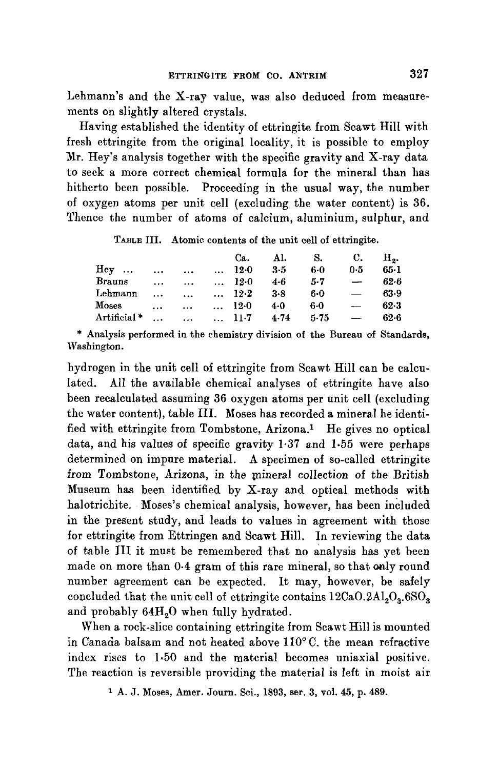Lehmann's and the X-ray value, was also deduced from measurements on slightly altered crystals.

Having established the identity of ettringite from Scawt Hill with fresh ettringite from the original locality, it is possible to employ Mr. Hey's analysis together with the specific gravity and X-ray data to seek a more correct chemical formula for the mineral than has hitherto been possible. Proceeding in the usual way, the number of oxygen atoms per unit cell (excluding the water content) is 36. Thence the number of atoms of calcium, aluminium, sulphur, and

TABLE III. Atomic contents of the unit cell of ettringite.

|               |           |                        | Ca.           | Al.     | <b>S.</b> | C.                       | н.       |
|---------------|-----------|------------------------|---------------|---------|-----------|--------------------------|----------|
| ${\rm HeV}$   | $\cdots$  | $\ddotsc$              | $\ldots$ 12.0 | 3.5     | $6-0$     | 0.5                      | $65 - 1$ |
| <b>Brauns</b> | $\cdots$  | $\cdots$               | $\ldots$ 12.0 | 4.6     | $5 - 7$   |                          | $62-6$   |
| Lehmann       | $\cdots$  | $\cdots$               | $\ldots$ 12.2 | $3 - 8$ | 6.0       | $\overline{\phantom{0}}$ | 63.9     |
| Moses         | $\ddotsc$ | $\cdots$               | $\ldots$ 12.0 | 4.0     | 6.0       | $\overline{\phantom{0}}$ | $62-3$   |
| Artificial *  | $\cdots$  | $\ldots$ $\ldots$ 11.7 |               | 4.74    | 5-75      |                          | $62 - 6$ |

\* Analysis performed in the chemistry division of the Bureau of Standards, Washington.

hydrogen in the unit cell of ettringite from Seawt Hill can be calculated. All the available chemical analyses of ettringite have also been recalculated assuming 36 oxygen atoms per unit cell (excluding the water content}, table III. Moses has recorded a mineral he identified with ettringite from Tombstone, Arizona.<sup>1</sup> He gives no optical data, and his values of specific gravity 1.37 and 1.55 were perhaps determined on impure material. A specimen of so-called ettringite from Tombstone, Arizona, in the mineral collection of the British Museum has been identified by X-ray and optical methods with halotriehite. Moses's chemical analysis, however, has been ineluded in the present study, and leads to values in agreement with those for ettringite from Ettringen and Seawt Hill. In reviewing the data of table III it must be remembered that no analysis has yet been made on more than 0.4 gram of this rare mineral, so that only round number agreement can be expected. It may, however, be safely concluded that the unit cell of ettringite contains  $12CaO.2Al<sub>2</sub>O<sub>3</sub>$ .6SO<sub>3</sub> and probably 64H<sub>2</sub>O when fully hydrated.

When a rock-slice containing ettringite from Seawt Hill is mounted in Canada balsam and not heated above  $110^{\circ}$ C. the mean refractive index rises to 1,50 and the material becomes uniaxial positive. The reaction is reversible providing the material is left in moist air

<sup>&</sup>lt;sup>1</sup> A. J. Moses, Amer. Journ. Sci., 1893, ser. 3, vol. 45, p. 489.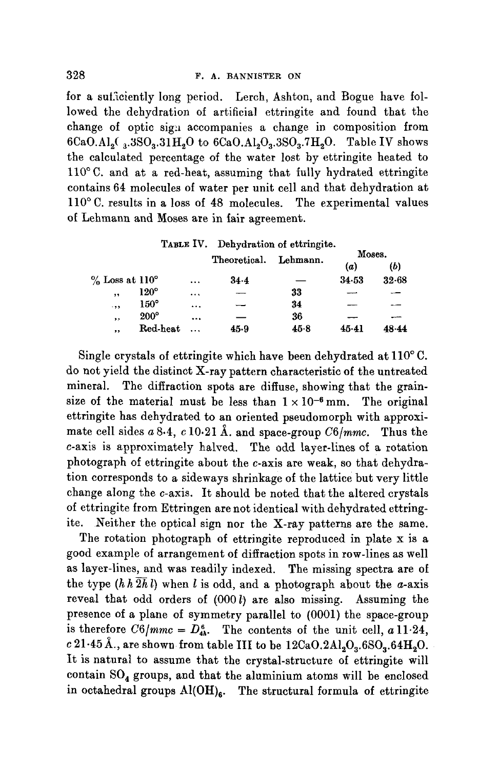for a sutficiently long period. Lerch, Ashton, and Bogue have followed the dehydration of artificial ettringite and found that the change of optic sign accompanies a change in composition from  $6CaO.A1_2(3.3S0_3.31H_2O$  to  $6CaO.A1_2O_3.3SO_3.7H_2O$ . Table IV shows the calculated percentage of the water lost by ettringite heated to  $110$ °C. and at a red-heat, assuming that fully hydrated ettringite contains 64 molecules of water per unit cell and that dehydration at  $110^{\circ}$  C. results in a loss of 48 molecules. The experimental values of Lehmann and Moses are in fair agreement.

|                            |             |          |              | TABLE IV. Dehydration of ettringite. |         |           |
|----------------------------|-------------|----------|--------------|--------------------------------------|---------|-----------|
|                            |             |          | Theoretical. | Lehmann.                             | Moses.  |           |
|                            |             |          |              |                                      | (a)     | (b)       |
| $\%$ Loss at $110^{\circ}$ |             | $\cdots$ | $34 - 4$     |                                      | 34.53   | $32 - 68$ |
| , ,                        | $120^\circ$ | $\cdots$ |              | 33                                   |         |           |
| .55                        | $150^\circ$ |          |              | 34                                   |         |           |
| ,,                         | $200^\circ$ |          |              | 36                                   |         |           |
| ,,                         | Red-heat    |          | 45.9         | 45.8                                 | $45-41$ | 48-44     |

Single crystals of ettringite which have been dehydrated at  $110^{\circ}$  C. do not yield the distinct X-ray pattern characteristic of the untreated mineral. The diffraction spots are diffuse, showing that the grainsize of the material must be less than  $1 \times 10^{-6}$  mm. The original ettringite has dehydrated to an oriented pseudomorph with approximate cell sides  $a\,8.4$ ,  $c\,10.21$  Å. and space-group  $C6/mmc$ . Thus the c-axis is approximately halved. The odd layer-lines of a rotation photograph of ettringite about the c-axis are weak, so that dehydration corresponds to a sideways shrinkage of the lattice but very little change along the c-axis. It should be noted that the altered crystals of ettringite from Ettringen are not identical with dehydrated ettringite. Neither the optical sign nor the X-ray patterns are the same.

The rotation photograph of ettringite reproduced in plate x is a good example of arrangement of diffraction spots in row-lines as well as layer-lines, and was readily indexed. The missing spectra are oi the type  $(h h \overline{2h} l)$  when l is odd, and a photograph about the a-axis reveal that odd orders of  $(000 l)$  are also missing. Assuming the presence of a plane of symmetry parallel to (0001) the space-group is therefore  $C6/mmc = D_{4h}^6$ . The contents of the unit cell, a 11.24,  $c$  21.45 Å., are shown from table III to be  $12CaO.2Al_2O_3.6SO_3.64H_2O.$ It is natural to assume that the crystal-structure of ettringite will contain  $SO_4$  groups, and that the aluminium atoms will be enclosed in octahedral groups  $Al(OH)_{e}$ . The structural formula of ettringite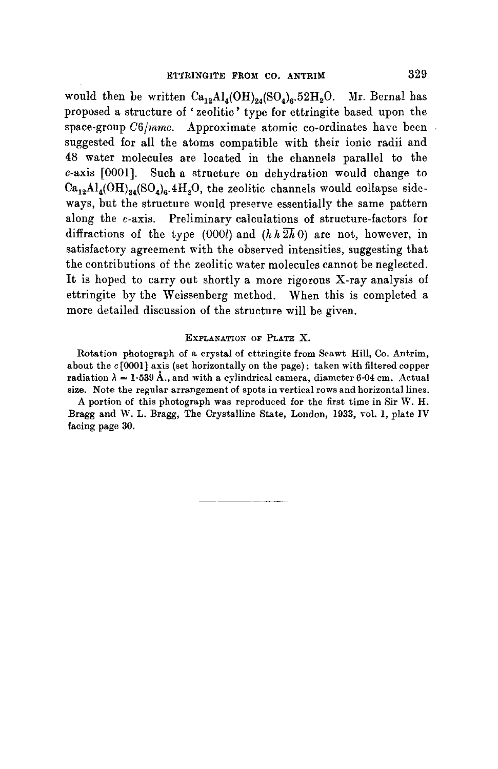would then be written  $Ca_{12}Al_4(OH)_{24}(SO_4)_6.52H_2O$ . Mr. Bernal has proposed a structure of ' zeolitic' type for ettringite based upon the space-group  $C6/mmc$ . Approximate atomic co-ordinates have been suggested for all the atoms compatible with their ionic radii and 48 water molecules are located in the channels parallel to the c-axis [0001]. Such a structure on dehydration would change to  $Ca_{12}Al_4(OH)_{24}(SO_4)_6.4H_2O$ , the zeolitic channels would collapse sideways, but the structure would preserve essentially the same pattern along the  $c$ -axis. Preliminary calculations of structure-factors for diffractions of the type (000l) and  $(h h 2h/0)$  are not, however, in satisfactory agreement with the observed intensities, suggesting that the contributions of the zeolitic water molecules cannot be neglected. It is hoped to carry out shortly a more rigorous X-ray analysis of ettringite by the Weissenberg method. When this is completed a more detailed discussion of the structure will be given.

## EXPLANATION OF PLATE X.

Rotation photograph of a crystal of ettringite from Scawt Hill, Co. Antrim, about the  $c$  [0001] axis (set horizontally on the page); taken with filtered copper radiation  $\lambda = 1.539 \text{ Å}$ ., and with a cylindrical camera, diameter 6.04 cm. Actual size. Note the regular arrangement of spots in vertical rows and horizontal lines.

A portion of this photograph was reproduced for the first time in Sir W. H. Bragg and W. L. Bragg, The Crystalline State, London, 1933, vol. 1, plate IV facing page 30.